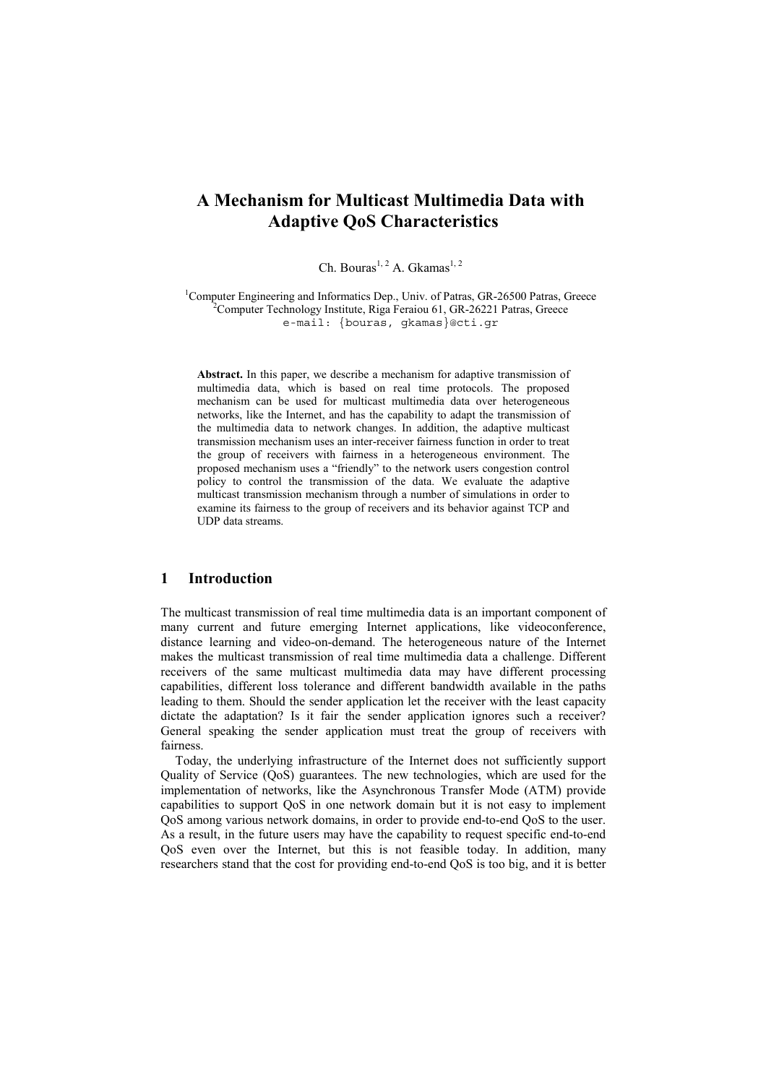# **A Mechanism for Multicast Multimedia Data with Adaptive QoS Characteristics**

Ch. Bouras<sup>1, 2</sup> A. Gkamas<sup>1, 2</sup>

<sup>1</sup>Computer Engineering and Informatics Dep., Univ. of Patras, GR-26500 Patras, Greece <sup>2</sup>Computer Technology Institute, Pice Estate 61, GB-26221 Petres, Greece <sup>2</sup>Computer Technology Institute, Riga Feraiou 61, GR-26221 Patras, Greece e-mail: {bouras, gkamas}@cti.gr

**Abstract.** In this paper, we describe a mechanism for adaptive transmission of multimedia data, which is based on real time protocols. The proposed mechanism can be used for multicast multimedia data over heterogeneous networks, like the Internet, and has the capability to adapt the transmission of the multimedia data to network changes. In addition, the adaptive multicast transmission mechanism uses an inter-receiver fairness function in order to treat the group of receivers with fairness in a heterogeneous environment. The proposed mechanism uses a "friendly" to the network users congestion control policy to control the transmission of the data. We evaluate the adaptive multicast transmission mechanism through a number of simulations in order to examine its fairness to the group of receivers and its behavior against TCP and UDP data streams.

# **1 Introduction**

The multicast transmission of real time multimedia data is an important component of many current and future emerging Internet applications, like videoconference, distance learning and video-on-demand. The heterogeneous nature of the Internet makes the multicast transmission of real time multimedia data a challenge. Different receivers of the same multicast multimedia data may have different processing capabilities, different loss tolerance and different bandwidth available in the paths leading to them. Should the sender application let the receiver with the least capacity dictate the adaptation? Is it fair the sender application ignores such a receiver? General speaking the sender application must treat the group of receivers with fairness.

Today, the underlying infrastructure of the Internet does not sufficiently support Quality of Service (QoS) guarantees. The new technologies, which are used for the implementation of networks, like the Asynchronous Transfer Mode (ATM) provide capabilities to support QoS in one network domain but it is not easy to implement QoS among various network domains, in order to provide end-to-end QoS to the user. As a result, in the future users may have the capability to request specific end-to-end QoS even over the Internet, but this is not feasible today. In addition, many researchers stand that the cost for providing end-to-end QoS is too big, and it is better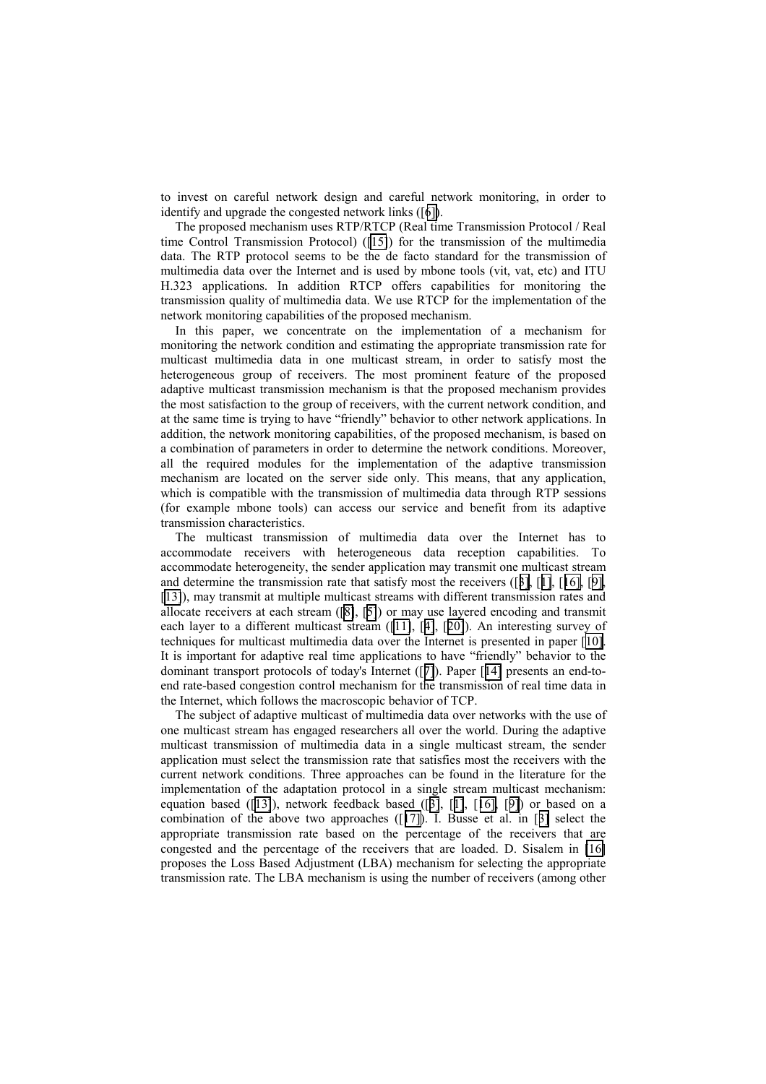to invest on careful network design and careful network monitoring, in order to identify and upgrade the congested network links ([[6\]\)](#page-14-0).

The proposed mechanism uses RTP/RTCP (Real time Transmission Protocol / Real time Control Transmission Protocol) ([\[15\]](#page-14-0)) for the transmission of the multimedia data. The RTP protocol seems to be the de facto standard for the transmission of multimedia data over the Internet and is used by mbone tools (vit, vat, etc) and ITU H.323 applications. In addition RTCP offers capabilities for monitoring the transmission quality of multimedia data. We use RTCP for the implementation of the network monitoring capabilities of the proposed mechanism.

In this paper, we concentrate on the implementation of a mechanism for monitoring the network condition and estimating the appropriate transmission rate for multicast multimedia data in one multicast stream, in order to satisfy most the heterogeneous group of receivers. The most prominent feature of the proposed adaptive multicast transmission mechanism is that the proposed mechanism provides the most satisfaction to the group of receivers, with the current network condition, and at the same time is trying to have "friendly" behavior to other network applications. In addition, the network monitoring capabilities, of the proposed mechanism, is based on a combination of parameters in order to determine the network conditions. Moreover, all the required modules for the implementation of the adaptive transmission mechanism are located on the server side only. This means, that any application, which is compatible with the transmission of multimedia data through RTP sessions (for example mbone tools) can access our service and benefit from its adaptive transmission characteristics.

The multicast transmission of multimedia data over the Internet has to accommodate receivers with heterogeneous data reception capabilities. To accommodate heterogeneity, the sender application may transmit one multicast stream and determine the transmission rate that satisfy most the receivers ([[3\]](#page-13-0), [[1\]](#page-13-0), [[16\],](#page-14-0) [[9\]](#page-14-0), [\[13\]](#page-14-0)), may transmit at multiple multicast streams with different transmission rates and allocate receivers at each stream ([\[8\]](#page-14-0), [[5\]](#page-13-0)) or may use layered encoding and transmit each layer to a different multicast stream ([\[11\]](#page-14-0), [[4\]](#page-13-0), [[20\]](#page-14-0)). An interesting survey of techniques for multicast multimedia data over the Internet is presented in paper [[10\]](#page-14-0). It is important for adaptive real time applications to have "friendly" behavior to the dominant transport protocols of today's Internet ([[7\]](#page-14-0)). Paper [[14\]](#page-14-0) presents an end-toend rate-based congestion control mechanism for the transmission of real time data in the Internet, which follows the macroscopic behavior of TCP.

The subject of adaptive multicast of multimedia data over networks with the use of one multicast stream has engaged researchers all over the world. During the adaptive multicast transmission of multimedia data in a single multicast stream, the sender application must select the transmission rate that satisfies most the receivers with the current network conditions. Three approaches can be found in the literature for the implementation of the adaptation protocol in a single stream multicast mechanism: equation based ([\[13\]](#page-14-0)), network feedback based ([[3\]](#page-13-0), [[1\]](#page-13-0), [[16\],](#page-14-0) [[9\]](#page-14-0)) or based on a combination of the above two approaches ([[17\]\)](#page-14-0). I. Busse et al. in [[3\]](#page-13-0) select the appropriate transmission rate based on the percentage of the receivers that are congested and the percentage of the receivers that are loaded. D. Sisalem in [\[16\]](#page-14-0) proposes the Loss Based Adjustment (LBA) mechanism for selecting the appropriate transmission rate. The LBA mechanism is using the number of receivers (among other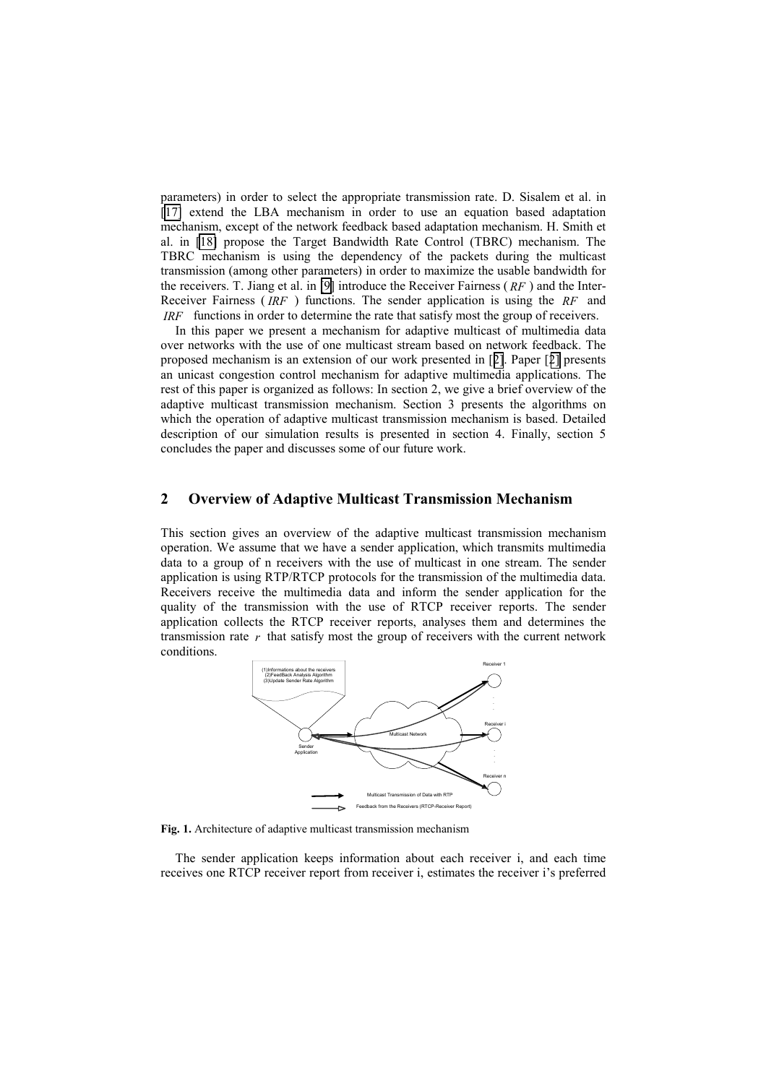parameters) in order to select the appropriate transmission rate. D. Sisalem et al. in [\[17\]](#page-14-0) extend the LBA mechanism in order to use an equation based adaptation mechanism, except of the network feedback based adaptation mechanism. H. Smith et al. in [\[18\]](#page-14-0) propose the Target Bandwidth Rate Control (TBRC) mechanism. The TBRC mechanism is using the dependency of the packets during the multicast transmission (among other parameters) in order to maximize the usable bandwidth for the receivers. T. Jiang et al. in [\[9\]](#page-14-0) introduce the Receiver Fairness ( *RF* ) and the Inter-Receiver Fairness ( *IRF* ) functions. The sender application is using the *RF* and *IRF* functions in order to determine the rate that satisfy most the group of receivers.

In this paper we present a mechanism for adaptive multicast of multimedia data over networks with the use of one multicast stream based on network feedback. The proposed mechanism is an extension of our work presented in [[2\]](#page-13-0). Paper [[2\]](#page-13-0) presents an unicast congestion control mechanism for adaptive multimedia applications. The rest of this paper is organized as follows: In section 2, we give a brief overview of the adaptive multicast transmission mechanism. Section 3 presents the algorithms on which the operation of adaptive multicast transmission mechanism is based. Detailed description of our simulation results is presented in section 4. Finally, section 5 concludes the paper and discusses some of our future work.

### **2 Overview of Adaptive Multicast Transmission Mechanism**

This section gives an overview of the adaptive multicast transmission mechanism operation. We assume that we have a sender application, which transmits multimedia data to a group of n receivers with the use of multicast in one stream. The sender application is using RTP/RTCP protocols for the transmission of the multimedia data. Receivers receive the multimedia data and inform the sender application for the quality of the transmission with the use of RTCP receiver reports. The sender application collects the RTCP receiver reports, analyses them and determines the transmission rate  $r$  that satisfy most the group of receivers with the current network conditions.



**Fig. 1.** Architecture of adaptive multicast transmission mechanism

The sender application keeps information about each receiver i, and each time receives one RTCP receiver report from receiver i, estimates the receiver i's preferred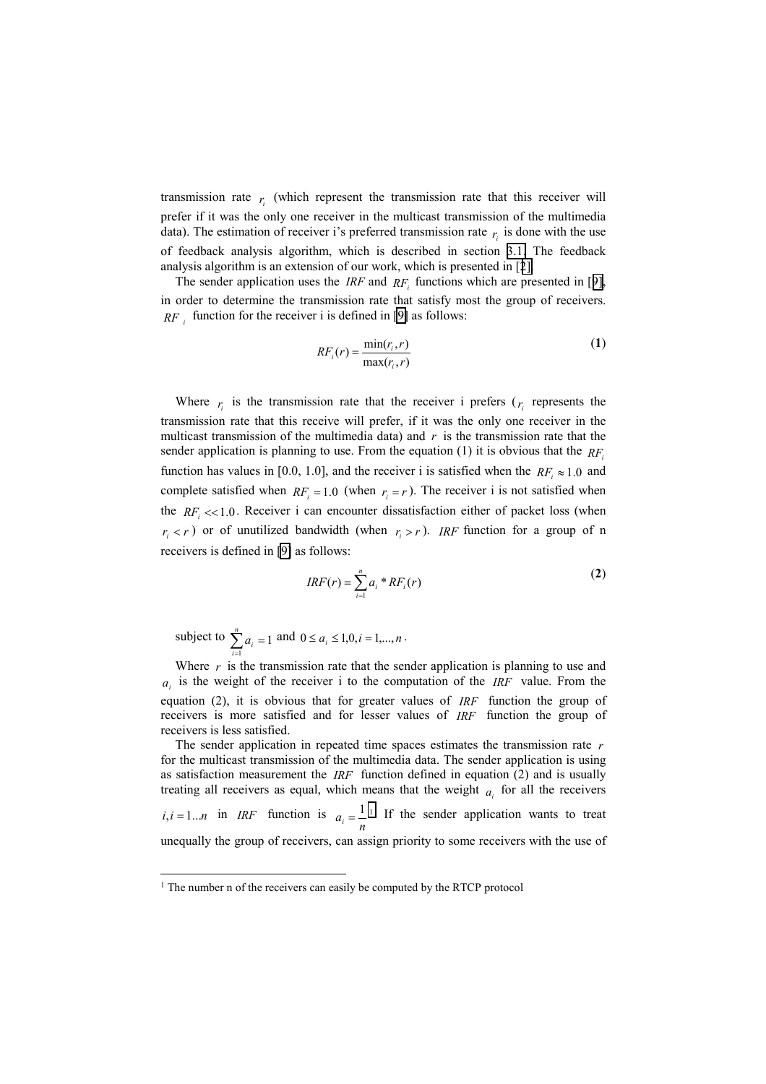transmission rate  $r_i$  (which represent the transmission rate that this receiver will prefer if it was the only one receiver in the multicast transmission of the multimedia data). The estimation of receiver i's preferred transmission rate  $r_i$  is done with the use of feedback analysis algorithm, which is described in section [3.1.](#page-4-0) The feedback analysis algorithm is an extension of our work, which is presented in [[2\].](#page-13-0)

The sender application uses the *IRF* and  $RF<sub>i</sub>$  functions which are presented in [[9\]](#page-14-0), in order to determine the transmission rate that satisfy most the group of receivers. *RF*  $\,i$  function for the receiver i is defined in [\[9\]](#page-14-0) as follows:

$$
RF_i(r) = \frac{\min(r_i, r)}{\max(r_i, r)}
$$
 (1)

Where  $r_i$  is the transmission rate that the receiver i prefers  $(r_i$  represents the transmission rate that this receive will prefer, if it was the only one receiver in the multicast transmission of the multimedia data) and  $r$  is the transmission rate that the sender application is planning to use. From the equation (1) it is obvious that the  $RF_i$ function has values in [0.0, 1.0], and the receiver i is satisfied when the  $RF_i \approx 1.0$  and complete satisfied when  $RF_i = 1.0$  (when  $r_i = r$ ). The receiver i is not satisfied when the  $RF_i \ll 1.0$ . Receiver i can encounter dissatisfaction either of packet loss (when  $r_i \leq r$ ) or of unutilized bandwidth (when  $r_i > r$ ). *IRF* function for a group of n receivers is defined in [\[9\]](#page-14-0) as follows:

$$
IRF(r) = \sum_{i=1}^{n} a_i * RF_i(r)
$$
 (2)

subject to  $\sum_{i=1}^{n} a_i =$  $\sum_{i=1}^n a_i$ 1 and  $0 \le a_i \le 1, 0, i = 1, ..., n$ .

-

Where  $r$  is the transmission rate that the sender application is planning to use and  $a_i$  is the weight of the receiver i to the computation of the *IRF* value. From the equation (2), it is obvious that for greater values of *IRF* function the group of receivers is more satisfied and for lesser values of *IRF* function the group of receivers is less satisfied.

The sender application in repeated time spaces estimates the transmission rate *r* for the multicast transmission of the multimedia data. The sender application is using as satisfaction measurement the *IRF* function defined in equation (2) and is usually treating all receivers as equal, which means that the weight  $a_i$  for all the receivers  $i, i = 1...n$  in *IRF* function is  $a_i = \frac{1}{n}$ . If the sender application wants to treat unequally the group of receivers, can assign priority to some receivers with the use of

<sup>&</sup>lt;sup>1</sup> The number n of the receivers can easily be computed by the RTCP protocol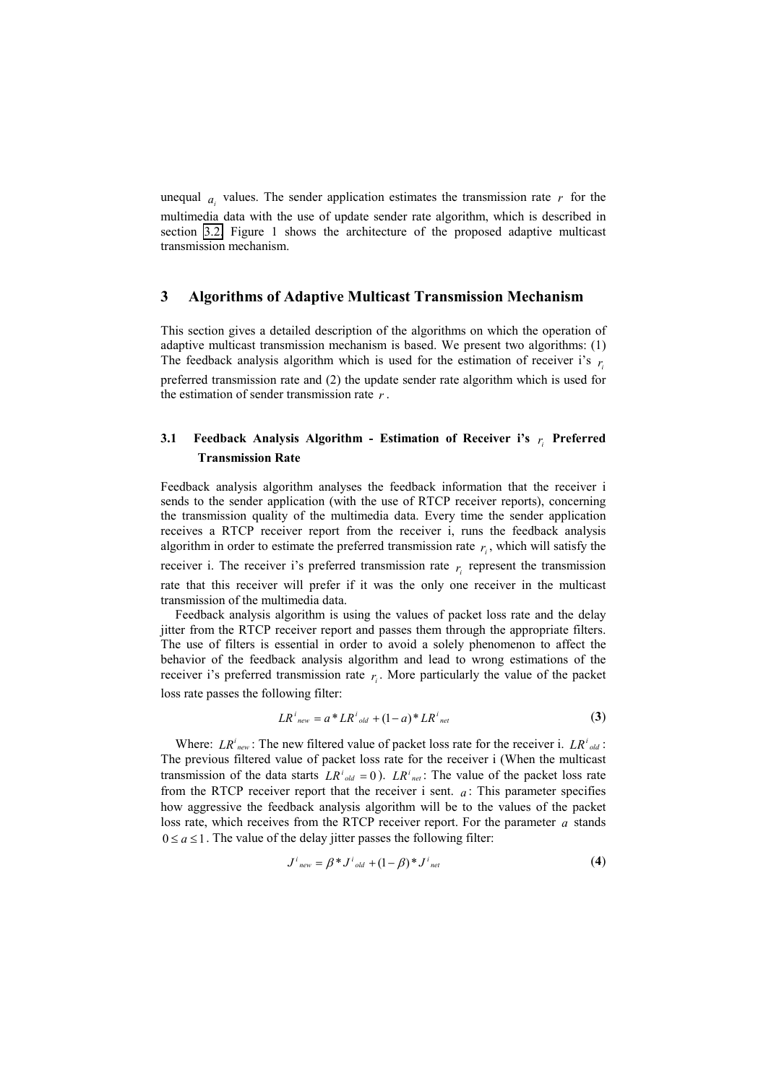<span id="page-4-0"></span>unequal  $a_i$  values. The sender application estimates the transmission rate  $r$  for the multimedia data with the use of update sender rate algorithm, which is described in section [3.2.](#page-6-0) Figure 1 shows the architecture of the proposed adaptive multicast transmission mechanism.

# **3 Algorithms of Adaptive Multicast Transmission Mechanism**

This section gives a detailed description of the algorithms on which the operation of adaptive multicast transmission mechanism is based. We present two algorithms: (1) The feedback analysis algorithm which is used for the estimation of receiver i's  $r<sub>i</sub>$ 

preferred transmission rate and (2) the update sender rate algorithm which is used for the estimation of sender transmission rate *r* .

# **3.1 Feedback Analysis Algorithm - Estimation of Receiver i's**  $r_i$  **Preferred Transmission Rate**

Feedback analysis algorithm analyses the feedback information that the receiver i sends to the sender application (with the use of RTCP receiver reports), concerning the transmission quality of the multimedia data. Every time the sender application receives a RTCP receiver report from the receiver i, runs the feedback analysis algorithm in order to estimate the preferred transmission rate  $r_i$ , which will satisfy the

receiver i. The receiver i's preferred transmission rate  $r<sub>i</sub>$  represent the transmission rate that this receiver will prefer if it was the only one receiver in the multicast transmission of the multimedia data.

Feedback analysis algorithm is using the values of packet loss rate and the delay jitter from the RTCP receiver report and passes them through the appropriate filters. The use of filters is essential in order to avoid a solely phenomenon to affect the behavior of the feedback analysis algorithm and lead to wrong estimations of the receiver i's preferred transmission rate  $r<sub>i</sub>$ . More particularly the value of the packet loss rate passes the following filter:

$$
LR^{i}{}_{new} = a * LR^{i}{}_{old} + (1-a) * LR^{i}{}_{net}
$$
 (3)

Where:  $LR^i_{new}$ : The new filtered value of packet loss rate for the receiver i.  $LR^i_{old}$ : The previous filtered value of packet loss rate for the receiver i (When the multicast transmission of the data starts  $LR^{i}{}_{old} = 0$ .  $LR^{i}{}_{net}$ : The value of the packet loss rate from the RTCP receiver report that the receiver i sent.  $a$ : This parameter specifies how aggressive the feedback analysis algorithm will be to the values of the packet loss rate, which receives from the RTCP receiver report. For the parameter *a* stands  $0 \le a \le 1$ . The value of the delay jitter passes the following filter:

$$
J^i_{new} = \beta^* J^i_{old} + (1 - \beta)^* J^i_{net}
$$
 (4)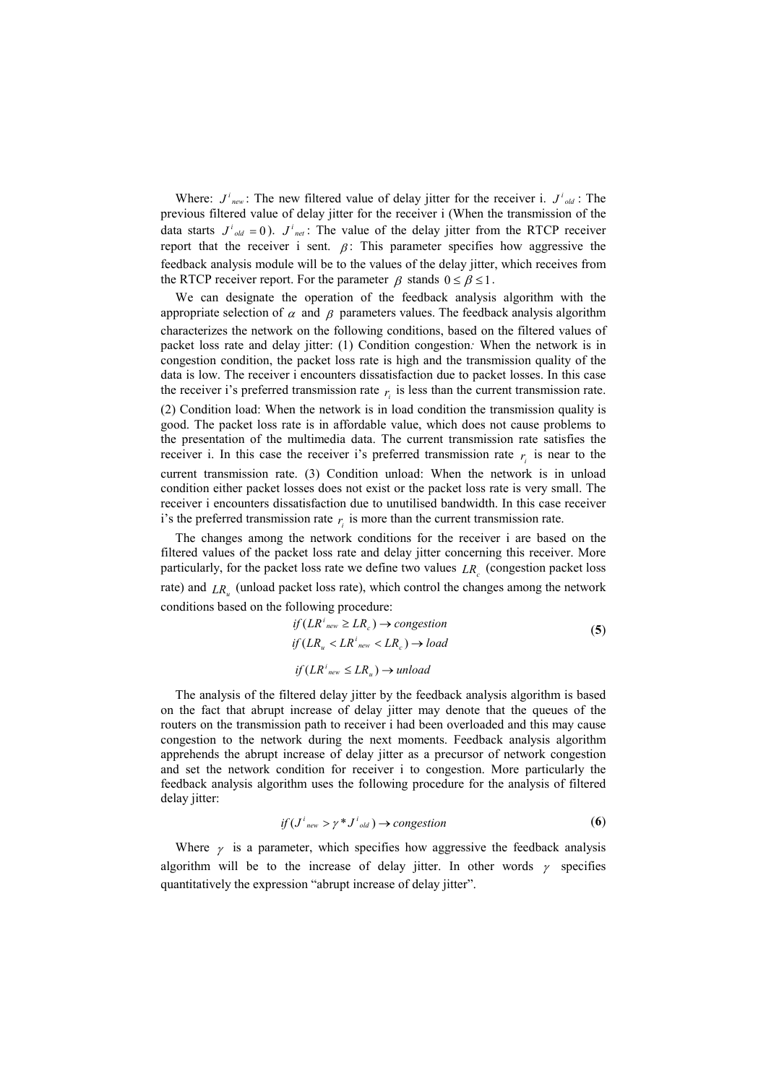Where:  $J^i_{\text{new}}$ : The new filtered value of delay jitter for the receiver i.  $J^i_{\text{old}}$ : The previous filtered value of delay jitter for the receiver i (When the transmission of the data starts  $J^i_{old} = 0$ ).  $J^i_{net}$ : The value of the delay jitter from the RTCP receiver report that the receiver i sent.  $\beta$ : This parameter specifies how aggressive the feedback analysis module will be to the values of the delay jitter, which receives from the RTCP receiver report. For the parameter  $\beta$  stands  $0 \le \beta \le 1$ .

We can designate the operation of the feedback analysis algorithm with the appropriate selection of  $\alpha$  and  $\beta$  parameters values. The feedback analysis algorithm characterizes the network on the following conditions, based on the filtered values of packet loss rate and delay jitter: (1) Condition congestion*:* When the network is in congestion condition, the packet loss rate is high and the transmission quality of the data is low. The receiver i encounters dissatisfaction due to packet losses. In this case the receiver i's preferred transmission rate  $r<sub>i</sub>$  is less than the current transmission rate. (2) Condition load: When the network is in load condition the transmission quality is good. The packet loss rate is in affordable value, which does not cause problems to the presentation of the multimedia data. The current transmission rate satisfies the receiver i. In this case the receiver i's preferred transmission rate  $r<sub>i</sub>$  is near to the current transmission rate. (3) Condition unload: When the network is in unload condition either packet losses does not exist or the packet loss rate is very small. The receiver i encounters dissatisfaction due to unutilised bandwidth. In this case receiver i's the preferred transmission rate  $r<sub>i</sub>$  is more than the current transmission rate.

The changes among the network conditions for the receiver i are based on the filtered values of the packet loss rate and delay jitter concerning this receiver. More particularly, for the packet loss rate we define two values  $LR_c$  (congestion packet loss rate) and *LR<sub>u</sub>* (unload packet loss rate), which control the changes among the network conditions based on the following procedure:

$$
if (LRinew \ge LRc) \rightarrow congestion
$$
  
\n
$$
if (LRu < LRinew < LRc) \rightarrow load
$$
  
\n
$$
if (LRinew \le LRu) \rightarrow unload
$$
\n(5)

The analysis of the filtered delay jitter by the feedback analysis algorithm is based on the fact that abrupt increase of delay jitter may denote that the queues of the routers on the transmission path to receiver i had been overloaded and this may cause congestion to the network during the next moments. Feedback analysis algorithm apprehends the abrupt increase of delay jitter as a precursor of network congestion and set the network condition for receiver i to congestion. More particularly the feedback analysis algorithm uses the following procedure for the analysis of filtered delay jitter:

$$
if (Ji_{new} > \gamma * Ji_{old}) \to congestion
$$
 (6)

Where  $\gamma$  is a parameter, which specifies how aggressive the feedback analysis algorithm will be to the increase of delay jitter. In other words  $\gamma$  specifies quantitatively the expression "abrupt increase of delay jitter".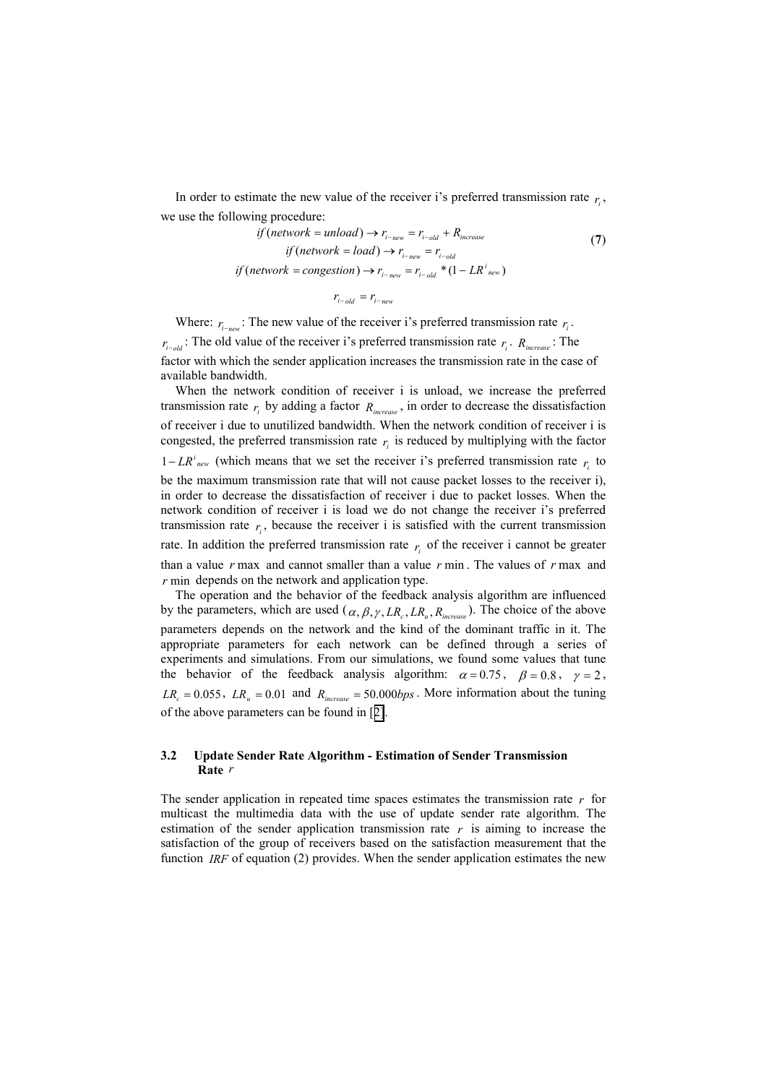<span id="page-6-0"></span>In order to estimate the new value of the receiver i's preferred transmission rate  $r<sub>i</sub>$ , we use the following procedure:

if (network = unload) 
$$
\rightarrow r_{i-new} = r_{i-old} + R_{increase}
$$
  
\nif (network = load)  $\rightarrow r_{i-new} = r_{i-old}$   
\nif (network = congestion)  $\rightarrow r_{i-new} = r_{i-old} * (1 - LR^{i}{}_{new})$ 

$$
r_{i-old} = r_{i-new}
$$

Where:  $r_{i-mew}$ : The new value of the receiver i's preferred transmission rate  $r_i$ .  $r_{i-old}$ : The old value of the receiver i's preferred transmission rate  $r_i$ .  $R_{increase}$ : The factor with which the sender application increases the transmission rate in the case of available bandwidth.

When the network condition of receiver i is unload, we increase the preferred transmission rate  $r_i$  by adding a factor  $R_{\text{increase}}$ , in order to decrease the dissatisfaction of receiver i due to unutilized bandwidth. When the network condition of receiver i is congested, the preferred transmission rate  $r<sub>i</sub>$  is reduced by multiplying with the factor *n*–*LR<sup><i>i*</sup><sub>new</sub> (which means that we set the receiver i's preferred transmission rate  $r_i$  to be the maximum transmission rate that will not cause packet losses to the receiver i), in order to decrease the dissatisfaction of receiver i due to packet losses. When the network condition of receiver i is load we do not change the receiver i's preferred transmission rate  $r_i$ , because the receiver i is satisfied with the current transmission rate. In addition the preferred transmission rate  $r_i$  of the receiver i cannot be greater than a value *r* max and cannot smaller than a value *r* min . The values of *r* max and *r* min depends on the network and application type. The operation and the behavior of the feedback analysis algorithm are influenced

by the parameters, which are used  $(\alpha, \beta, \gamma, LR_c, LR_u, R_{increase})$ . The choice of the above parameters depends on the network and the kind of the dominant traffic in it. The appropriate parameters for each network can be defined through a series of experiments and simulations. From our simulations, we found some values that tune the behavior of the feedback analysis algorithm:  $\alpha = 0.75$ ,  $\beta = 0.8$ ,  $\gamma = 2$ ,  $LR_c = 0.055$ ,  $LR_u = 0.01$  and  $R_{increase} = 50.000bps$ . More information about the tuning of the above parameters can be found in [[2\]](#page-13-0).

#### **3.2 Update Sender Rate Algorithm - Estimation of Sender Transmission Rate** *r*

The sender application in repeated time spaces estimates the transmission rate *r* for multicast the multimedia data with the use of update sender rate algorithm. The estimation of the sender application transmission rate  $r$  is aiming to increase the satisfaction of the group of receivers based on the satisfaction measurement that the function *IRF* of equation (2) provides. When the sender application estimates the new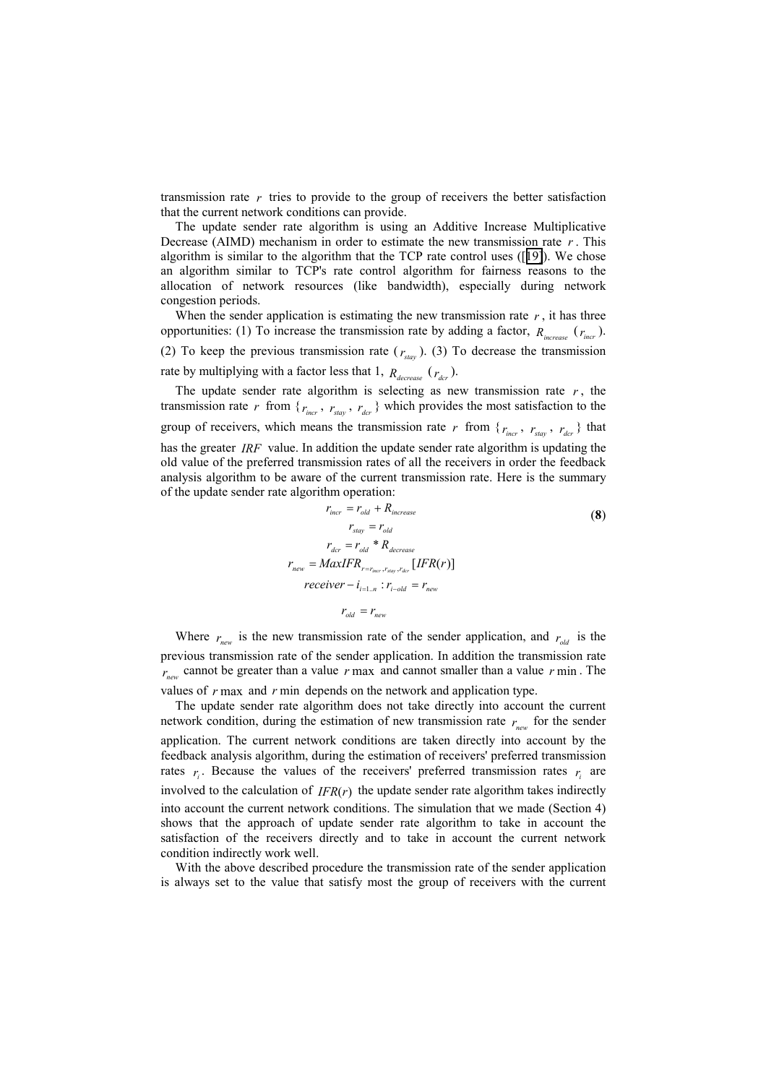transmission rate  $r$  tries to provide to the group of receivers the better satisfaction that the current network conditions can provide.

The update sender rate algorithm is using an Additive Increase Multiplicative Decrease (AIMD) mechanism in order to estimate the new transmission rate  $r$ . This algorithm is similar to the algorithm that the TCP rate control uses ([[19\]](#page-14-0)). We chose an algorithm similar to TCP's rate control algorithm for fairness reasons to the allocation of network resources (like bandwidth), especially during network congestion periods.

When the sender application is estimating the new transmission rate  $r$ , it has three opportunities: (1) To increase the transmission rate by adding a factor,  $R_{\text{increase}}$  ( $r_{\text{inc}}$ ). (2) To keep the previous transmission rate  $(r_{\text{star}})$ . (3) To decrease the transmission rate by multiplying with a factor less that 1,  $R_{decrease}$  ( $r_{der}$ ).

The update sender rate algorithm is selecting as new transmission rate  $r$ , the transmission rate *r* from { $r_{\text{star}}$ ,  $r_{\text{star}}$ ,  $r_{\text{star}}$ } which provides the most satisfaction to the group of receivers, which means the transmission rate *r* from { $r_{\text{incr}}$ ,  $r_{\text{star}}$ ,  $r_{\text{der}}$ } that has the greater *IRF* value. In addition the update sender rate algorithm is updating the old value of the preferred transmission rates of all the receivers in order the feedback analysis algorithm to be aware of the current transmission rate. Here is the summary of the update sender rate algorithm operation:

$$
r_{\text{incr}} = r_{\text{old}} + R_{\text{increase}}
$$
  
\n
$$
r_{\text{stay}} = r_{\text{old}}
$$
  
\n
$$
r_{\text{dcr}} = r_{\text{old}} * R_{\text{decrease}}
$$
  
\n
$$
r_{\text{new}} = \text{MaxIFR}_{r=r_{\text{mer}}, r_{\text{stay}}, r_{\text{dcr}}} [\text{IFR}(r)]
$$
  
\n
$$
\text{receiver} - i_{i=1..n} : r_{i-\text{old}} = r_{\text{new}}
$$
  
\n
$$
r_{\text{old}} = r_{\text{new}}
$$

Where  $r_{\text{max}}$  is the new transmission rate of the sender application, and  $r_{\text{old}}$  is the previous transmission rate of the sender application. In addition the transmission rate  $r_{\text{new}}$  cannot be greater than a value  $r$  max and cannot smaller than a value  $r$  min. The values of *r* max and *r* min depends on the network and application type.

The update sender rate algorithm does not take directly into account the current network condition, during the estimation of new transmission rate  $r_{new}$  for the sender application. The current network conditions are taken directly into account by the feedback analysis algorithm, during the estimation of receivers' preferred transmission rates  $r_i$ . Because the values of the receivers' preferred transmission rates  $r_i$  are involved to the calculation of  $IFR(r)$  the update sender rate algorithm takes indirectly into account the current network conditions. The simulation that we made (Section 4) shows that the approach of update sender rate algorithm to take in account the satisfaction of the receivers directly and to take in account the current network condition indirectly work well.

With the above described procedure the transmission rate of the sender application is always set to the value that satisfy most the group of receivers with the current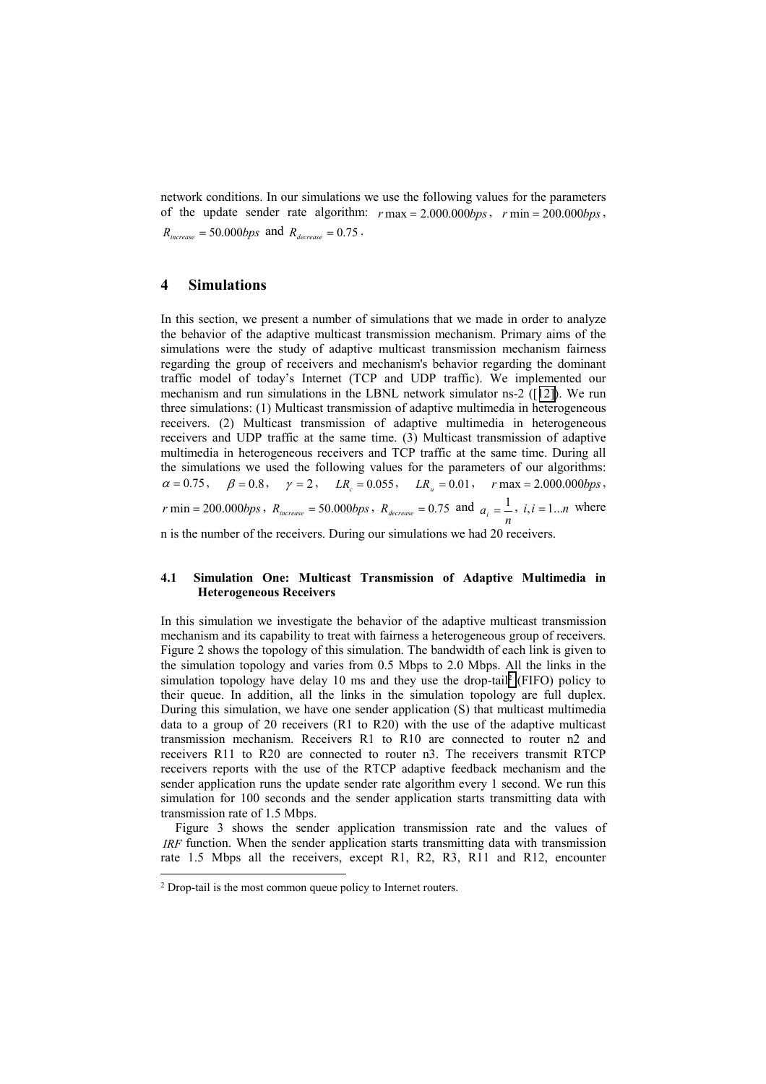network conditions. In our simulations we use the following values for the parameters of the update sender rate algorithm: *r* max = 2.000.000*bps*, *r* min = 200.000*bps*,  $R_{increase} = 50.000bps$  and  $R_{decrease} = 0.75$ .

#### **4 Simulations**

In this section, we present a number of simulations that we made in order to analyze the behavior of the adaptive multicast transmission mechanism. Primary aims of the simulations were the study of adaptive multicast transmission mechanism fairness regarding the group of receivers and mechanism's behavior regarding the dominant traffic model of today's Internet (TCP and UDP traffic). We implemented our mechanism and run simulations in the LBNL network simulator ns-2 ([[12\]\)](#page-14-0). We run three simulations: (1) Multicast transmission of adaptive multimedia in heterogeneous receivers. (2) Multicast transmission of adaptive multimedia in heterogeneous receivers and UDP traffic at the same time. (3) Multicast transmission of adaptive multimedia in heterogeneous receivers and TCP traffic at the same time. During all the simulations we used the following values for the parameters of our algorithms:  $\alpha = 0.75$ ,  $\beta = 0.8$ ,  $\gamma = 2$ ,  $LR_c = 0.055$ ,  $LR_u = 0.01$ ,  $r \text{ max} = 2.000.000bps$ ,  $r \text{ min} = 200.000bps, R_{\text{increase}} = 50.000bps, R_{\text{decrease}} = 0.75 \text{ and } a_i = \frac{1}{n}, i, i = 1...n \text{ where}$ n is the number of the receivers. During our simulations we had 20 receivers.

#### **4.1 Simulation One: Multicast Transmission of Adaptive Multimedia in Heterogeneous Receivers**

In this simulation we investigate the behavior of the adaptive multicast transmission mechanism and its capability to treat with fairness a heterogeneous group of receivers. Figure 2 shows the topology of this simulation. The bandwidth of each link is given to the simulation topology and varies from 0.5 Mbps to 2.0 Mbps. All the links in the simulation topology have delay 10 ms and they use the drop-tail<sup>2</sup> (FIFO) policy to their queue. In addition, all the links in the simulation topology are full duplex. During this simulation, we have one sender application (S) that multicast multimedia data to a group of 20 receivers (R1 to R20) with the use of the adaptive multicast transmission mechanism. Receivers R1 to R10 are connected to router n2 and receivers R11 to R20 are connected to router n3. The receivers transmit RTCP receivers reports with the use of the RTCP adaptive feedback mechanism and the sender application runs the update sender rate algorithm every 1 second. We run this simulation for 100 seconds and the sender application starts transmitting data with transmission rate of 1.5 Mbps.

Figure 3 shows the sender application transmission rate and the values of *IRF* function. When the sender application starts transmitting data with transmission rate 1.5 Mbps all the receivers, except R1, R2, R3, R11 and R12, encounter

-

<sup>2</sup> Drop-tail is the most common queue policy to Internet routers.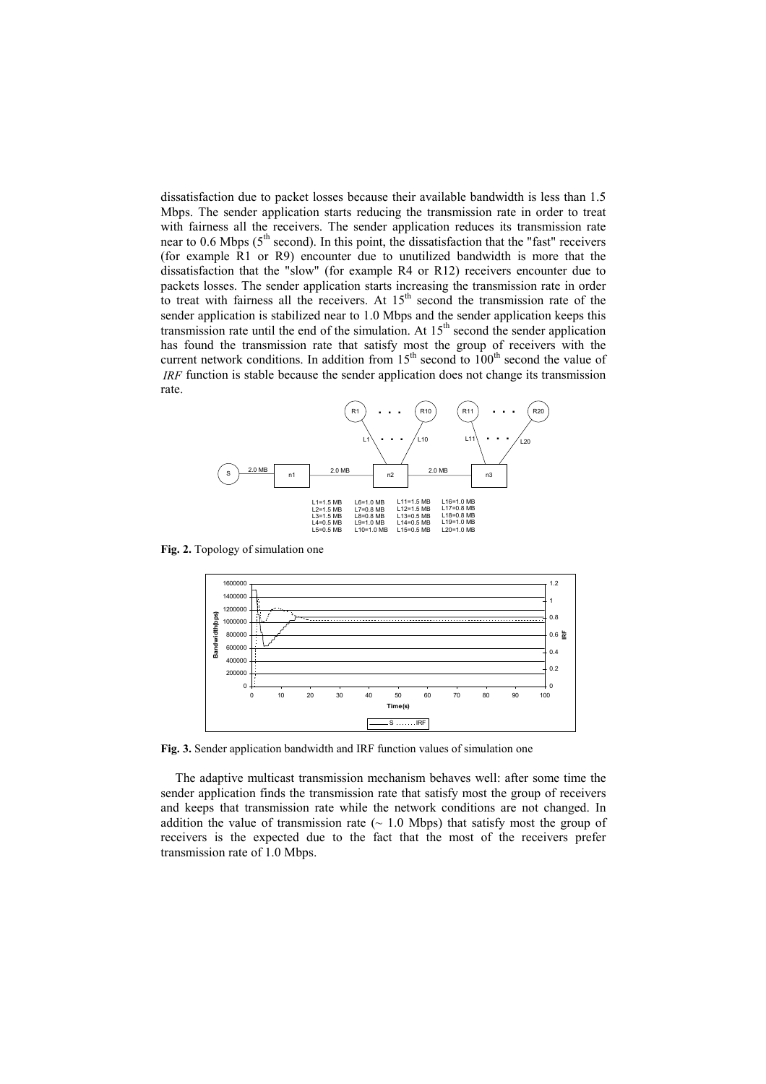dissatisfaction due to packet losses because their available bandwidth is less than 1.5 Mbps. The sender application starts reducing the transmission rate in order to treat with fairness all the receivers. The sender application reduces its transmission rate near to  $0.6$  Mbps ( $5<sup>th</sup>$  second). In this point, the dissatisfaction that the "fast" receivers (for example R1 or R9) encounter due to unutilized bandwidth is more that the dissatisfaction that the "slow" (for example R4 or R12) receivers encounter due to packets losses. The sender application starts increasing the transmission rate in order to treat with fairness all the receivers. At  $15<sup>th</sup>$  second the transmission rate of the sender application is stabilized near to 1.0 Mbps and the sender application keeps this transmission rate until the end of the simulation. At  $15<sup>th</sup>$  second the sender application has found the transmission rate that satisfy most the group of receivers with the current network conditions. In addition from  $15<sup>th</sup>$  second to  $100<sup>th</sup>$  second the value of *IRF* function is stable because the sender application does not change its transmission rate.



**Fig. 2.** Topology of simulation one



**Fig. 3.** Sender application bandwidth and IRF function values of simulation one

The adaptive multicast transmission mechanism behaves well: after some time the sender application finds the transmission rate that satisfy most the group of receivers and keeps that transmission rate while the network conditions are not changed. In addition the value of transmission rate  $($   $\sim$  1.0 Mbps) that satisfy most the group of receivers is the expected due to the fact that the most of the receivers prefer transmission rate of 1.0 Mbps.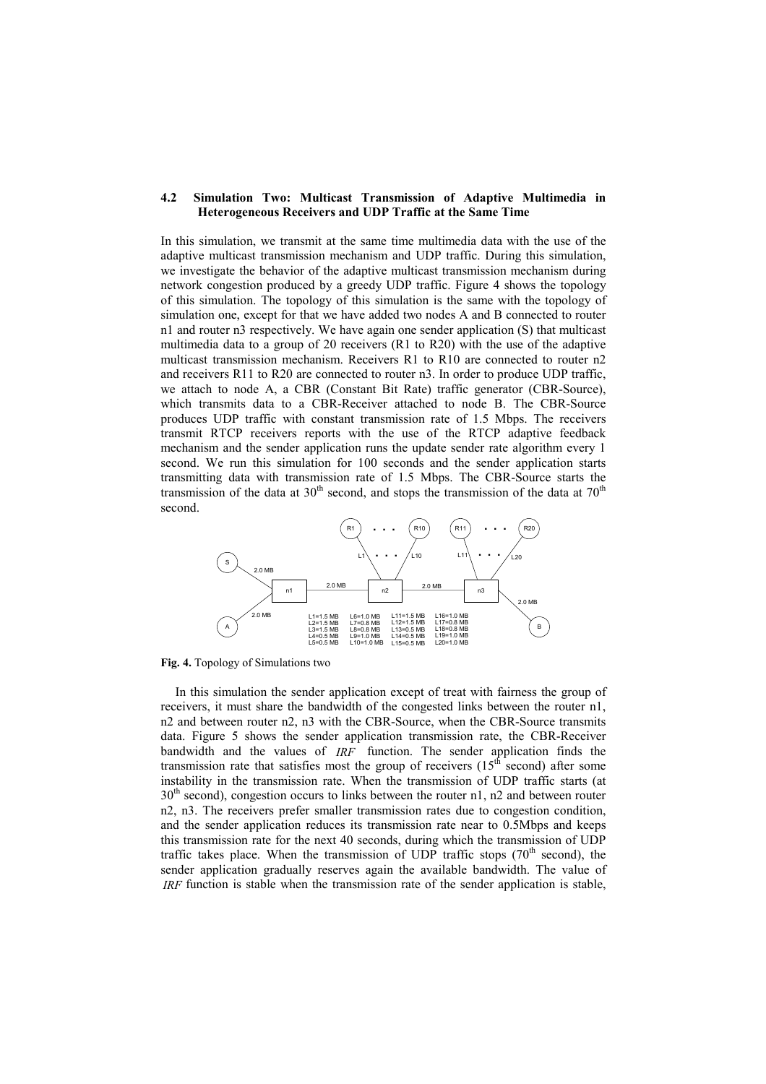#### **4.2 Simulation Two: Multicast Transmission of Adaptive Multimedia in Heterogeneous Receivers and UDP Traffic at the Same Time**

In this simulation, we transmit at the same time multimedia data with the use of the adaptive multicast transmission mechanism and UDP traffic. During this simulation, we investigate the behavior of the adaptive multicast transmission mechanism during network congestion produced by a greedy UDP traffic. Figure 4 shows the topology of this simulation. The topology of this simulation is the same with the topology of simulation one, except for that we have added two nodes A and B connected to router n1 and router n3 respectively. We have again one sender application (S) that multicast multimedia data to a group of 20 receivers (R1 to R20) with the use of the adaptive multicast transmission mechanism. Receivers R1 to R10 are connected to router n2 and receivers R11 to R20 are connected to router n3. In order to produce UDP traffic, we attach to node A, a CBR (Constant Bit Rate) traffic generator (CBR-Source), which transmits data to a CBR-Receiver attached to node B. The CBR-Source produces UDP traffic with constant transmission rate of 1.5 Mbps. The receivers transmit RTCP receivers reports with the use of the RTCP adaptive feedback mechanism and the sender application runs the update sender rate algorithm every 1 second. We run this simulation for 100 seconds and the sender application starts transmitting data with transmission rate of 1.5 Mbps. The CBR-Source starts the transmission of the data at  $30<sup>th</sup>$  second, and stops the transmission of the data at  $70<sup>th</sup>$ second.



**Fig. 4.** Topology of Simulations two

In this simulation the sender application except of treat with fairness the group of receivers, it must share the bandwidth of the congested links between the router n1, n2 and between router n2, n3 with the CBR-Source, when the CBR-Source transmits data. Figure 5 shows the sender application transmission rate, the CBR-Receiver bandwidth and the values of *IRF* function. The sender application finds the transmission rate that satisfies most the group of receivers  $(15<sup>th</sup>$  second) after some instability in the transmission rate. When the transmission of UDP traffic starts (at  $30<sup>th</sup>$  second), congestion occurs to links between the router n1, n2 and between router n2, n3. The receivers prefer smaller transmission rates due to congestion condition, and the sender application reduces its transmission rate near to 0.5Mbps and keeps this transmission rate for the next 40 seconds, during which the transmission of UDP traffic takes place. When the transmission of UDP traffic stops  $(70<sup>th</sup> second)$ , the sender application gradually reserves again the available bandwidth. The value of *IRF* function is stable when the transmission rate of the sender application is stable,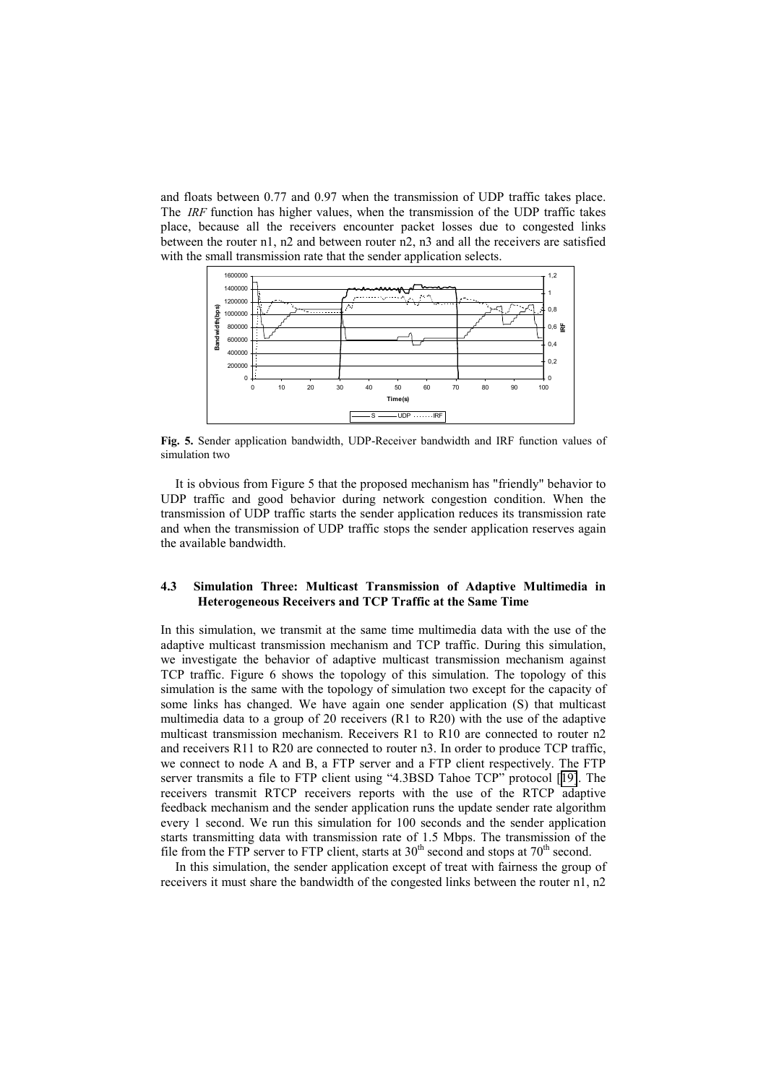and floats between 0.77 and 0.97 when the transmission of UDP traffic takes place. The *IRF* function has higher values, when the transmission of the UDP traffic takes place, because all the receivers encounter packet losses due to congested links between the router n1, n2 and between router n2, n3 and all the receivers are satisfied with the small transmission rate that the sender application selects.



**Fig. 5.** Sender application bandwidth, UDP-Receiver bandwidth and IRF function values of simulation two

It is obvious from Figure 5 that the proposed mechanism has "friendly" behavior to UDP traffic and good behavior during network congestion condition. When the transmission of UDP traffic starts the sender application reduces its transmission rate and when the transmission of UDP traffic stops the sender application reserves again the available bandwidth.

#### **4.3 Simulation Three: Multicast Transmission of Adaptive Multimedia in Heterogeneous Receivers and TCP Traffic at the Same Time**

In this simulation, we transmit at the same time multimedia data with the use of the adaptive multicast transmission mechanism and TCP traffic. During this simulation, we investigate the behavior of adaptive multicast transmission mechanism against TCP traffic. Figure 6 shows the topology of this simulation. The topology of this simulation is the same with the topology of simulation two except for the capacity of some links has changed. We have again one sender application (S) that multicast multimedia data to a group of 20 receivers (R1 to R20) with the use of the adaptive multicast transmission mechanism. Receivers R1 to R10 are connected to router n2 and receivers R11 to R20 are connected to router n3. In order to produce TCP traffic, we connect to node A and B, a FTP server and a FTP client respectively. The FTP server transmits a file to FTP client using "4.3BSD Tahoe TCP" protocol [[19\]](#page-14-0). The receivers transmit RTCP receivers reports with the use of the RTCP adaptive feedback mechanism and the sender application runs the update sender rate algorithm every 1 second. We run this simulation for 100 seconds and the sender application starts transmitting data with transmission rate of 1.5 Mbps. The transmission of the file from the FTP server to FTP client, starts at  $30<sup>th</sup>$  second and stops at  $70<sup>th</sup>$  second.

In this simulation, the sender application except of treat with fairness the group of receivers it must share the bandwidth of the congested links between the router n1, n2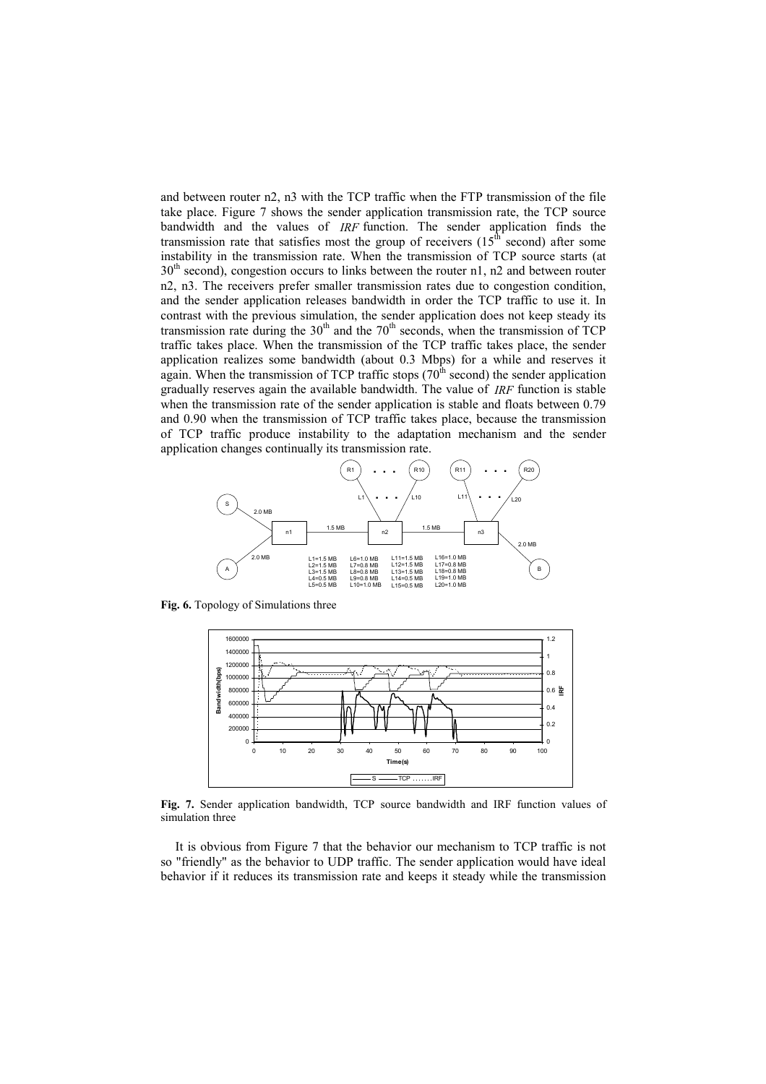and between router n2, n3 with the TCP traffic when the FTP transmission of the file take place. Figure 7 shows the sender application transmission rate, the TCP source bandwidth and the values of *IRF* function. The sender application finds the transmission rate that satisfies most the group of receivers  $(15<sup>th</sup>$  second) after some instability in the transmission rate. When the transmission of TCP source starts (at  $30<sup>th</sup>$  second), congestion occurs to links between the router n1, n2 and between router n2, n3. The receivers prefer smaller transmission rates due to congestion condition, and the sender application releases bandwidth in order the TCP traffic to use it. In contrast with the previous simulation, the sender application does not keep steady its transmission rate during the  $30<sup>th</sup>$  and the  $70<sup>th</sup>$  seconds, when the transmission of TCP traffic takes place. When the transmission of the TCP traffic takes place, the sender application realizes some bandwidth (about 0.3 Mbps) for a while and reserves it again. When the transmission of TCP traffic stops  $(70<sup>th</sup>$  second) the sender application gradually reserves again the available bandwidth. The value of *IRF* function is stable when the transmission rate of the sender application is stable and floats between 0.79 and 0.90 when the transmission of TCP traffic takes place, because the transmission of TCP traffic produce instability to the adaptation mechanism and the sender application changes continually its transmission rate.



**Fig. 6.** Topology of Simulations three



**Fig. 7.** Sender application bandwidth, TCP source bandwidth and IRF function values of simulation three

It is obvious from Figure 7 that the behavior our mechanism to TCP traffic is not so "friendly" as the behavior to UDP traffic. The sender application would have ideal behavior if it reduces its transmission rate and keeps it steady while the transmission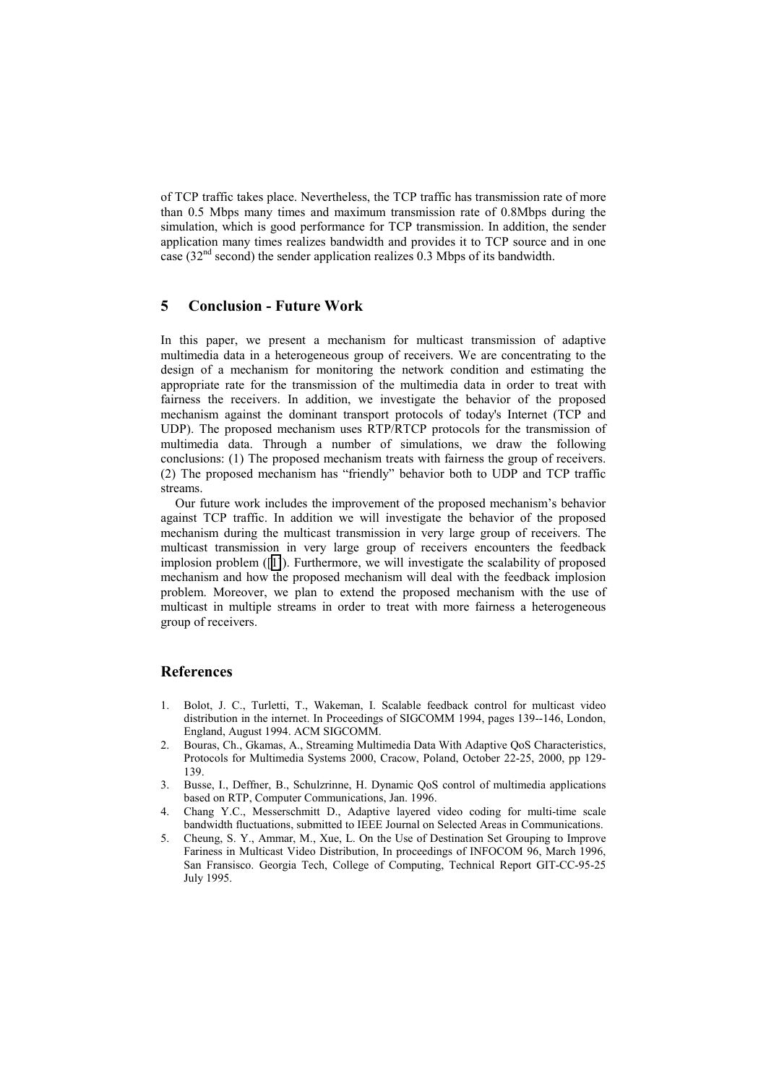<span id="page-13-0"></span>of TCP traffic takes place. Nevertheless, the TCP traffic has transmission rate of more than 0.5 Mbps many times and maximum transmission rate of 0.8Mbps during the simulation, which is good performance for TCP transmission. In addition, the sender application many times realizes bandwidth and provides it to TCP source and in one case (32<sup>nd</sup> second) the sender application realizes 0.3 Mbps of its bandwidth.

# **5 Conclusion - Future Work**

In this paper, we present a mechanism for multicast transmission of adaptive multimedia data in a heterogeneous group of receivers. We are concentrating to the design of a mechanism for monitoring the network condition and estimating the appropriate rate for the transmission of the multimedia data in order to treat with fairness the receivers. In addition, we investigate the behavior of the proposed mechanism against the dominant transport protocols of today's Internet (TCP and UDP). The proposed mechanism uses RTP/RTCP protocols for the transmission of multimedia data. Through a number of simulations, we draw the following conclusions: (1) The proposed mechanism treats with fairness the group of receivers. (2) The proposed mechanism has "friendly" behavior both to UDP and TCP traffic streams.

Our future work includes the improvement of the proposed mechanism's behavior against TCP traffic. In addition we will investigate the behavior of the proposed mechanism during the multicast transmission in very large group of receivers. The multicast transmission in very large group of receivers encounters the feedback implosion problem ([1]). Furthermore, we will investigate the scalability of proposed mechanism and how the proposed mechanism will deal with the feedback implosion problem. Moreover, we plan to extend the proposed mechanism with the use of multicast in multiple streams in order to treat with more fairness a heterogeneous group of receivers.

# **References**

- 1. Bolot, J. C., Turletti, T., Wakeman, I. Scalable feedback control for multicast video distribution in the internet. In Proceedings of SIGCOMM 1994, pages 139--146, London, England, August 1994. ACM SIGCOMM.
- 2. Bouras, Ch., Gkamas, A., Streaming Multimedia Data With Adaptive QoS Characteristics, Protocols for Multimedia Systems 2000, Cracow, Poland, October 22-25, 2000, pp 129- 139.
- 3. Busse, I., Deffner, B., Schulzrinne, H. Dynamic QoS control of multimedia applications based on RTP, Computer Communications, Jan. 1996.
- 4. Chang Y.C., Messerschmitt D., Adaptive layered video coding for multi-time scale bandwidth fluctuations, submitted to IEEE Journal on Selected Areas in Communications.
- 5. Cheung, S. Y., Ammar, M., Xue, L. On the Use of Destination Set Grouping to Improve Fariness in Multicast Video Distribution, In proceedings of INFOCOM 96, March 1996, San Fransisco. Georgia Tech, College of Computing, Technical Report GIT-CC-95-25 July 1995.